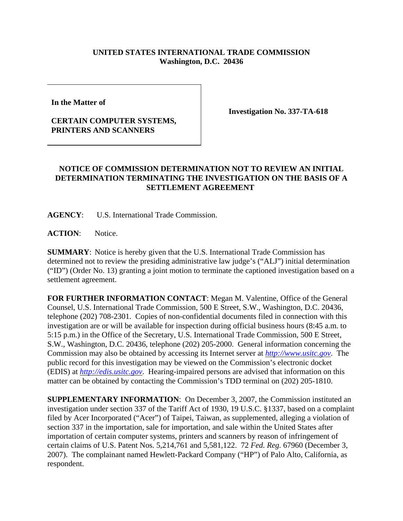## **UNITED STATES INTERNATIONAL TRADE COMMISSION Washington, D.C. 20436**

**In the Matter of** 

## **CERTAIN COMPUTER SYSTEMS, PRINTERS AND SCANNERS**

**Investigation No. 337-TA-618**

## **NOTICE OF COMMISSION DETERMINATION NOT TO REVIEW AN INITIAL DETERMINATION TERMINATING THE INVESTIGATION ON THE BASIS OF A SETTLEMENT AGREEMENT**

**AGENCY**: U.S. International Trade Commission.

ACTION: Notice.

**SUMMARY**: Notice is hereby given that the U.S. International Trade Commission has determined not to review the presiding administrative law judge's ("ALJ") initial determination ("ID") (Order No. 13) granting a joint motion to terminate the captioned investigation based on a settlement agreement.

**FOR FURTHER INFORMATION CONTACT**: Megan M. Valentine, Office of the General Counsel, U.S. International Trade Commission, 500 E Street, S.W., Washington, D.C. 20436, telephone (202) 708-2301. Copies of non-confidential documents filed in connection with this investigation are or will be available for inspection during official business hours (8:45 a.m. to 5:15 p.m.) in the Office of the Secretary, U.S. International Trade Commission, 500 E Street, S.W., Washington, D.C. 20436, telephone (202) 205-2000. General information concerning the Commission may also be obtained by accessing its Internet server at *http://www.usitc.gov*. The public record for this investigation may be viewed on the Commission's electronic docket (EDIS) at *http://edis.usitc.gov*. Hearing-impaired persons are advised that information on this matter can be obtained by contacting the Commission's TDD terminal on (202) 205-1810.

**SUPPLEMENTARY INFORMATION**: On December 3, 2007, the Commission instituted an investigation under section 337 of the Tariff Act of 1930, 19 U.S.C. §1337, based on a complaint filed by Acer Incorporated ("Acer") of Taipei, Taiwan, as supplemented, alleging a violation of section 337 in the importation, sale for importation, and sale within the United States after importation of certain computer systems, printers and scanners by reason of infringement of certain claims of U.S. Patent Nos. 5,214,761 and 5,581,122. 72 *Fed. Reg.* 67960 (December 3, 2007). The complainant named Hewlett-Packard Company ("HP") of Palo Alto, California, as respondent.